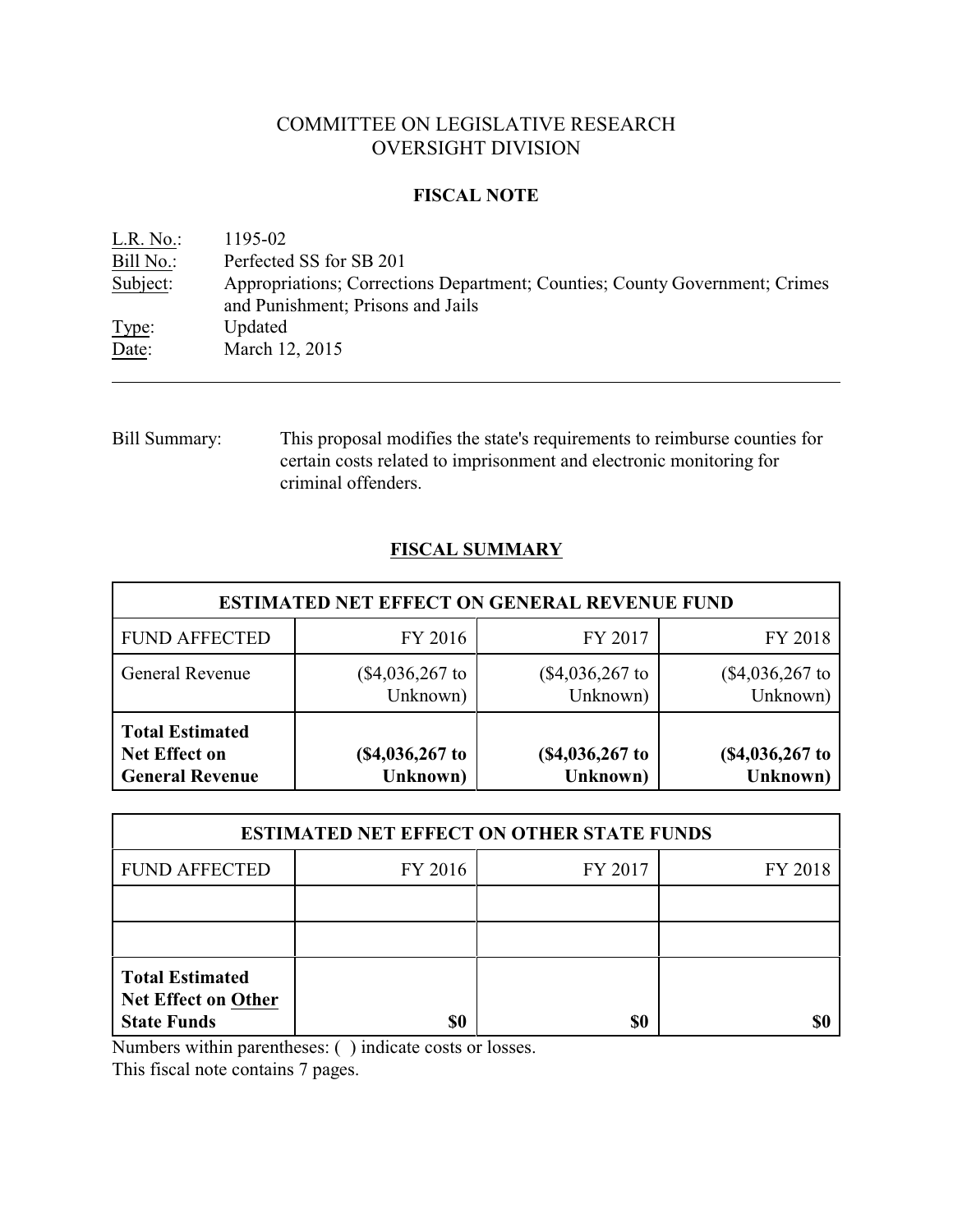# COMMITTEE ON LEGISLATIVE RESEARCH OVERSIGHT DIVISION

## **FISCAL NOTE**

<u>L.R. No.:</u> 1195-02<br>Bill No.: Perfected Perfected SS for SB 201 Subject: Appropriations; Corrections Department; Counties; County Government; Crimes and Punishment; Prisons and Jails Type: Updated Date: March 12, 2015

Bill Summary: This proposal modifies the state's requirements to reimburse counties for certain costs related to imprisonment and electronic monitoring for criminal offenders.

# **FISCAL SUMMARY**

| <b>ESTIMATED NET EFFECT ON GENERAL REVENUE FUND</b>               |                               |                             |                               |  |  |  |
|-------------------------------------------------------------------|-------------------------------|-----------------------------|-------------------------------|--|--|--|
| <b>FUND AFFECTED</b>                                              | FY 2016                       | FY 2017                     | FY 2018                       |  |  |  |
| General Revenue                                                   | (\$4,036,267\$ to<br>Unknown) | (\$4,036,267 to<br>Unknown) | $(\$4,036,267$ to<br>Unknown) |  |  |  |
| <b>Total Estimated</b><br>Net Effect on<br><b>General Revenue</b> | (\$4,036,267 to<br>Unknown)   | (\$4,036,267 to<br>Unknown) | $($4,036,267$$ to<br>Unknown) |  |  |  |

| <b>ESTIMATED NET EFFECT ON OTHER STATE FUNDS</b>                           |         |         |         |  |  |  |
|----------------------------------------------------------------------------|---------|---------|---------|--|--|--|
| <b>FUND AFFECTED</b>                                                       | FY 2016 | FY 2017 | FY 2018 |  |  |  |
|                                                                            |         |         |         |  |  |  |
|                                                                            |         |         |         |  |  |  |
| <b>Total Estimated</b><br><b>Net Effect on Other</b><br><b>State Funds</b> | \$0     | \$0     |         |  |  |  |

Numbers within parentheses: ( ) indicate costs or losses.

This fiscal note contains 7 pages.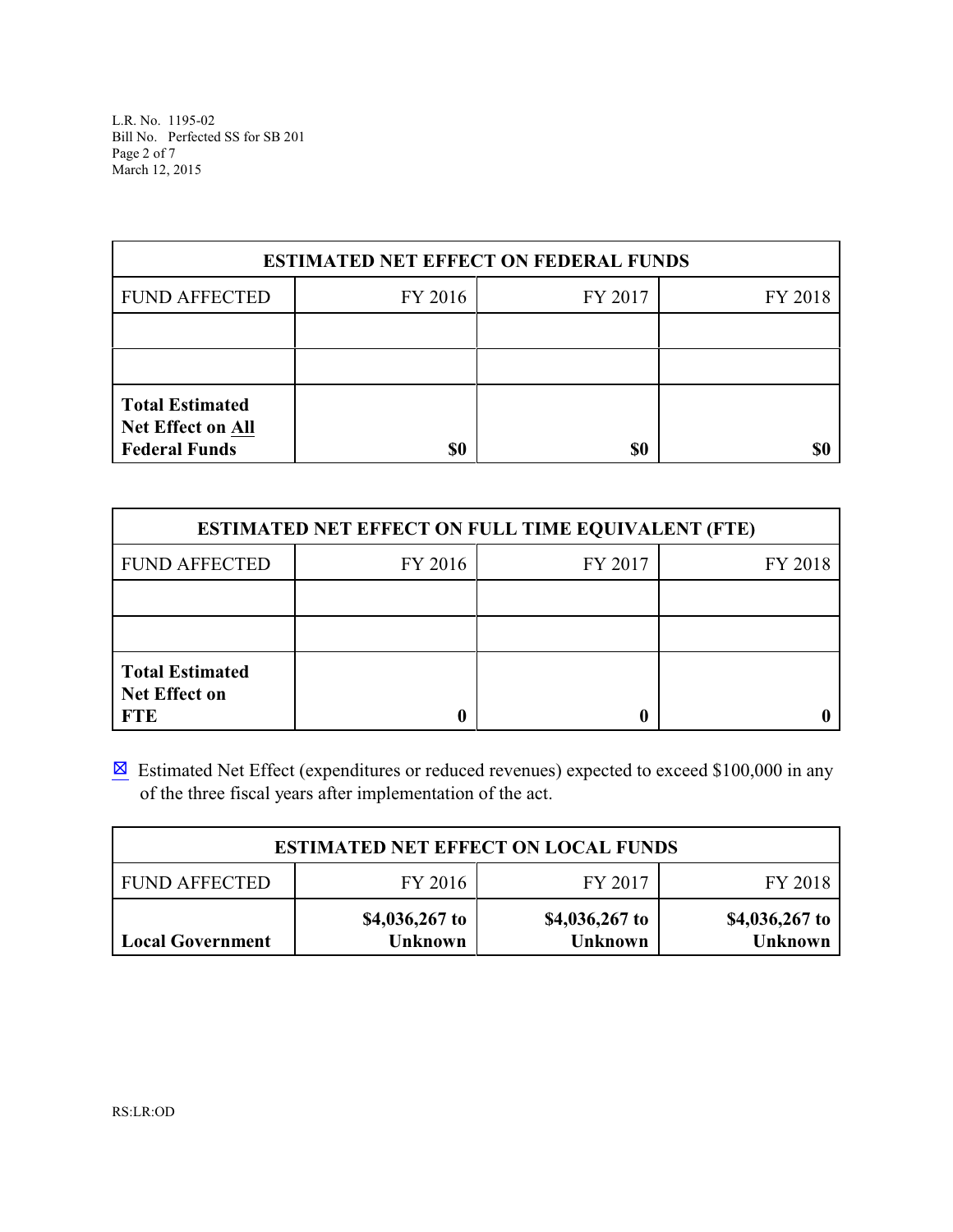L.R. No. 1195-02 Bill No. Perfected SS for SB 201 Page 2 of 7 March 12, 2015

| <b>ESTIMATED NET EFFECT ON FEDERAL FUNDS</b>                        |         |         |         |  |  |  |
|---------------------------------------------------------------------|---------|---------|---------|--|--|--|
| <b>FUND AFFECTED</b>                                                | FY 2016 | FY 2017 | FY 2018 |  |  |  |
|                                                                     |         |         |         |  |  |  |
|                                                                     |         |         |         |  |  |  |
| <b>Total Estimated</b><br>Net Effect on All<br><b>Federal Funds</b> | \$0     | \$0     |         |  |  |  |

| <b>ESTIMATED NET EFFECT ON FULL TIME EQUIVALENT (FTE)</b>    |         |         |         |  |  |  |
|--------------------------------------------------------------|---------|---------|---------|--|--|--|
| <b>FUND AFFECTED</b>                                         | FY 2016 | FY 2017 | FY 2018 |  |  |  |
|                                                              |         |         |         |  |  |  |
|                                                              |         |         |         |  |  |  |
| <b>Total Estimated</b><br><b>Net Effect on</b><br><b>FTE</b> |         |         |         |  |  |  |

 $\boxtimes$  Estimated Net Effect (expenditures or reduced revenues) expected to exceed \$100,000 in any of the three fiscal years after implementation of the act.

| <b>ESTIMATED NET EFFECT ON LOCAL FUNDS</b>            |                                  |                                  |                                  |  |  |  |  |
|-------------------------------------------------------|----------------------------------|----------------------------------|----------------------------------|--|--|--|--|
| FY 2017<br><b>FUND AFFECTED</b><br>FY 2016<br>FY 2018 |                                  |                                  |                                  |  |  |  |  |
| <b>Local Government</b>                               | \$4,036,267 to<br><b>Unknown</b> | \$4,036,267 to<br><b>Unknown</b> | \$4,036,267 to<br><b>Unknown</b> |  |  |  |  |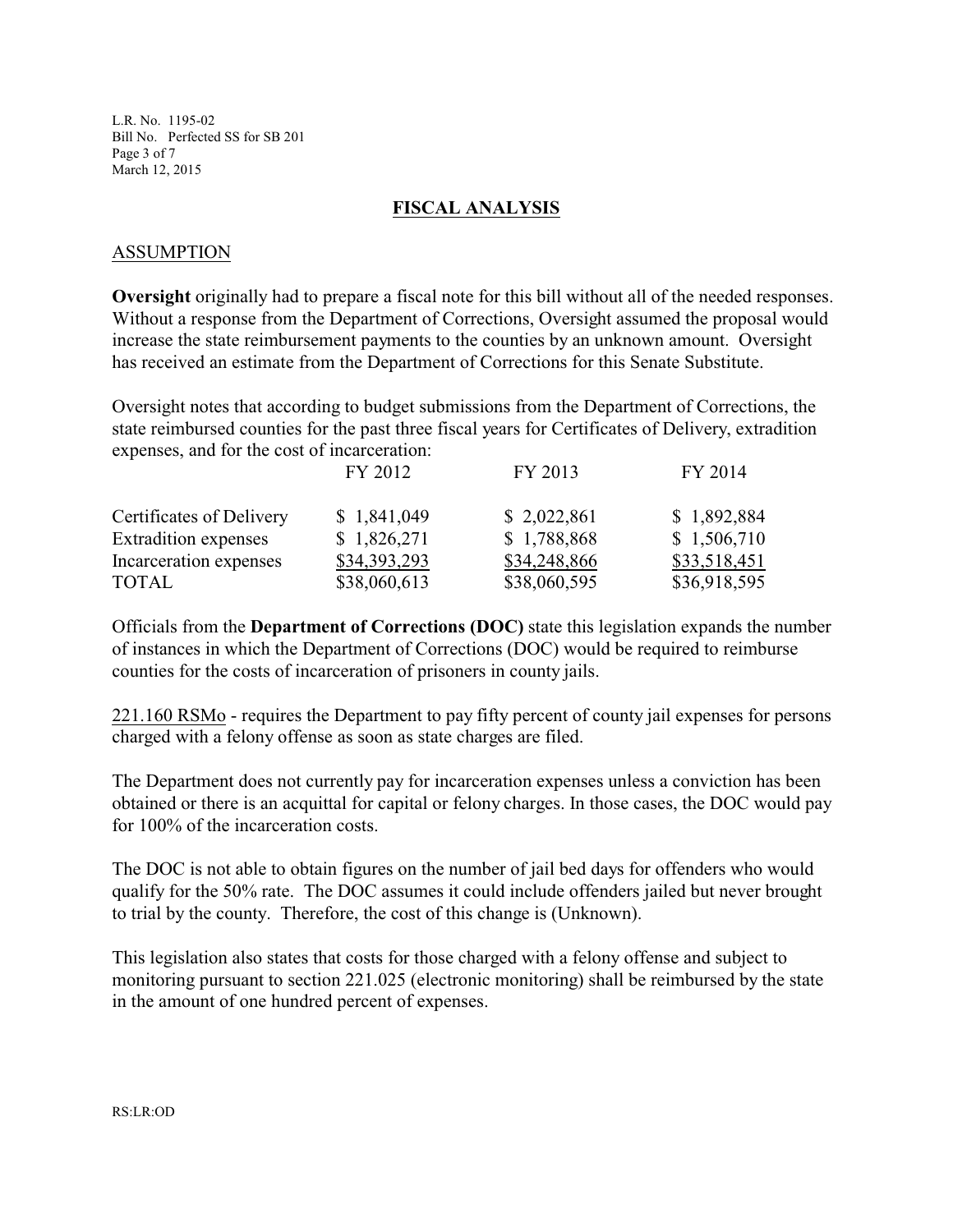L.R. No. 1195-02 Bill No. Perfected SS for SB 201 Page 3 of 7 March 12, 2015

#### **FISCAL ANALYSIS**

#### ASSUMPTION

**Oversight** originally had to prepare a fiscal note for this bill without all of the needed responses. Without a response from the Department of Corrections, Oversight assumed the proposal would increase the state reimbursement payments to the counties by an unknown amount. Oversight has received an estimate from the Department of Corrections for this Senate Substitute.

Oversight notes that according to budget submissions from the Department of Corrections, the state reimbursed counties for the past three fiscal years for Certificates of Delivery, extradition expenses, and for the cost of incarceration:

|                             | FY 2012      | FY 2013      | FY 2014      |
|-----------------------------|--------------|--------------|--------------|
| Certificates of Delivery    | \$1,841,049  | \$2,022,861  | \$1,892,884  |
| <b>Extradition</b> expenses | \$1,826,271  | \$1,788,868  | \$1,506,710  |
| Incarceration expenses      | \$34,393,293 | \$34,248,866 | \$33,518,451 |
| <b>TOTAL</b>                | \$38,060,613 | \$38,060,595 | \$36,918,595 |

Officials from the **Department of Corrections (DOC)** state this legislation expands the number of instances in which the Department of Corrections (DOC) would be required to reimburse counties for the costs of incarceration of prisoners in county jails.

221.160 RSMo - requires the Department to pay fifty percent of county jail expenses for persons charged with a felony offense as soon as state charges are filed.

The Department does not currently pay for incarceration expenses unless a conviction has been obtained or there is an acquittal for capital or felony charges. In those cases, the DOC would pay for 100% of the incarceration costs.

The DOC is not able to obtain figures on the number of jail bed days for offenders who would qualify for the 50% rate. The DOC assumes it could include offenders jailed but never brought to trial by the county. Therefore, the cost of this change is (Unknown).

This legislation also states that costs for those charged with a felony offense and subject to monitoring pursuant to section 221.025 (electronic monitoring) shall be reimbursed by the state in the amount of one hundred percent of expenses.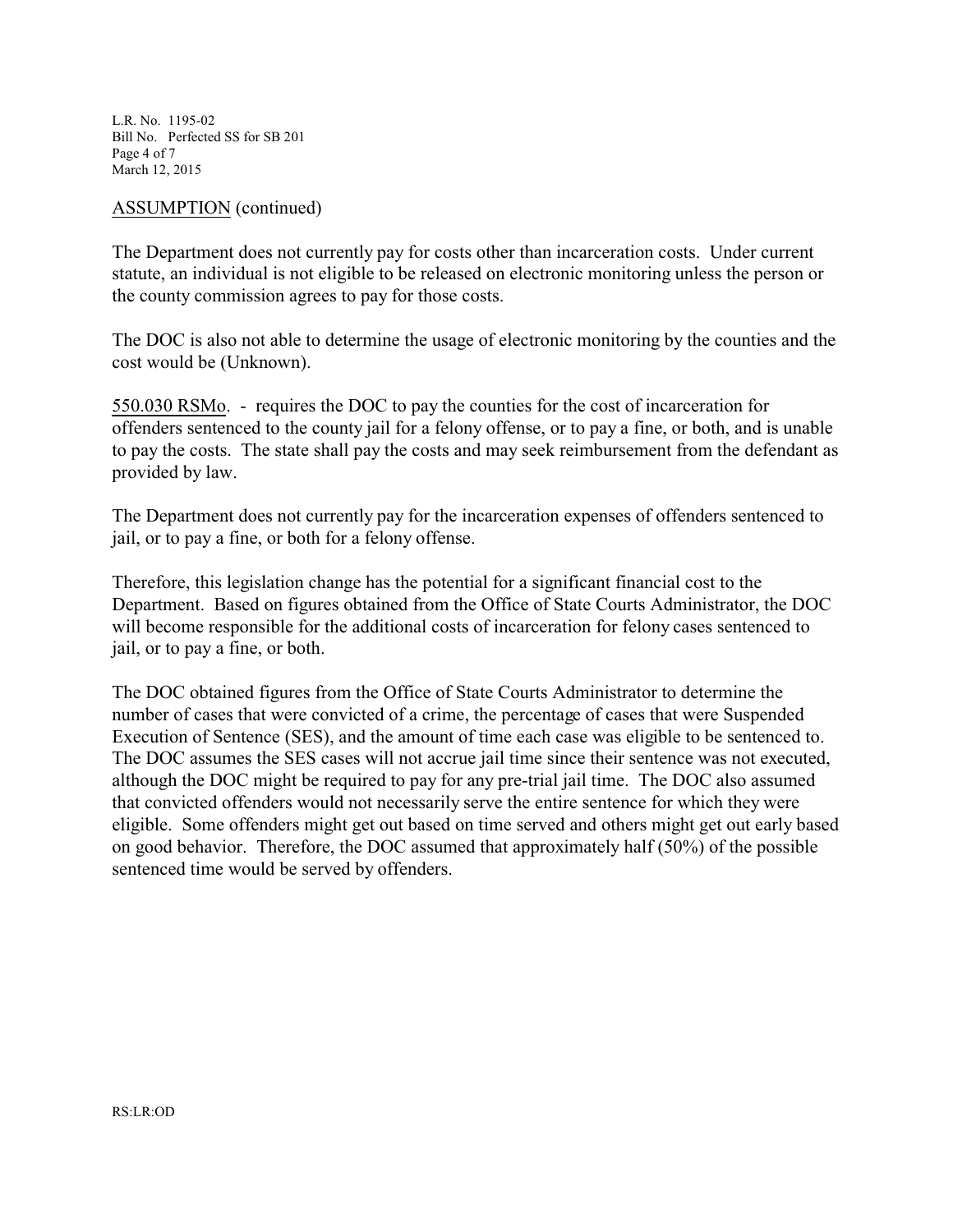L.R. No. 1195-02 Bill No. Perfected SS for SB 201 Page 4 of 7 March 12, 2015

### ASSUMPTION (continued)

The Department does not currently pay for costs other than incarceration costs. Under current statute, an individual is not eligible to be released on electronic monitoring unless the person or the county commission agrees to pay for those costs.

The DOC is also not able to determine the usage of electronic monitoring by the counties and the cost would be (Unknown).

550.030 RSMo. - requires the DOC to pay the counties for the cost of incarceration for offenders sentenced to the county jail for a felony offense, or to pay a fine, or both, and is unable to pay the costs. The state shall pay the costs and may seek reimbursement from the defendant as provided by law.

The Department does not currently pay for the incarceration expenses of offenders sentenced to jail, or to pay a fine, or both for a felony offense.

Therefore, this legislation change has the potential for a significant financial cost to the Department. Based on figures obtained from the Office of State Courts Administrator, the DOC will become responsible for the additional costs of incarceration for felony cases sentenced to jail, or to pay a fine, or both.

The DOC obtained figures from the Office of State Courts Administrator to determine the number of cases that were convicted of a crime, the percentage of cases that were Suspended Execution of Sentence (SES), and the amount of time each case was eligible to be sentenced to. The DOC assumes the SES cases will not accrue jail time since their sentence was not executed, although the DOC might be required to pay for any pre-trial jail time. The DOC also assumed that convicted offenders would not necessarily serve the entire sentence for which they were eligible. Some offenders might get out based on time served and others might get out early based on good behavior. Therefore, the DOC assumed that approximately half (50%) of the possible sentenced time would be served by offenders.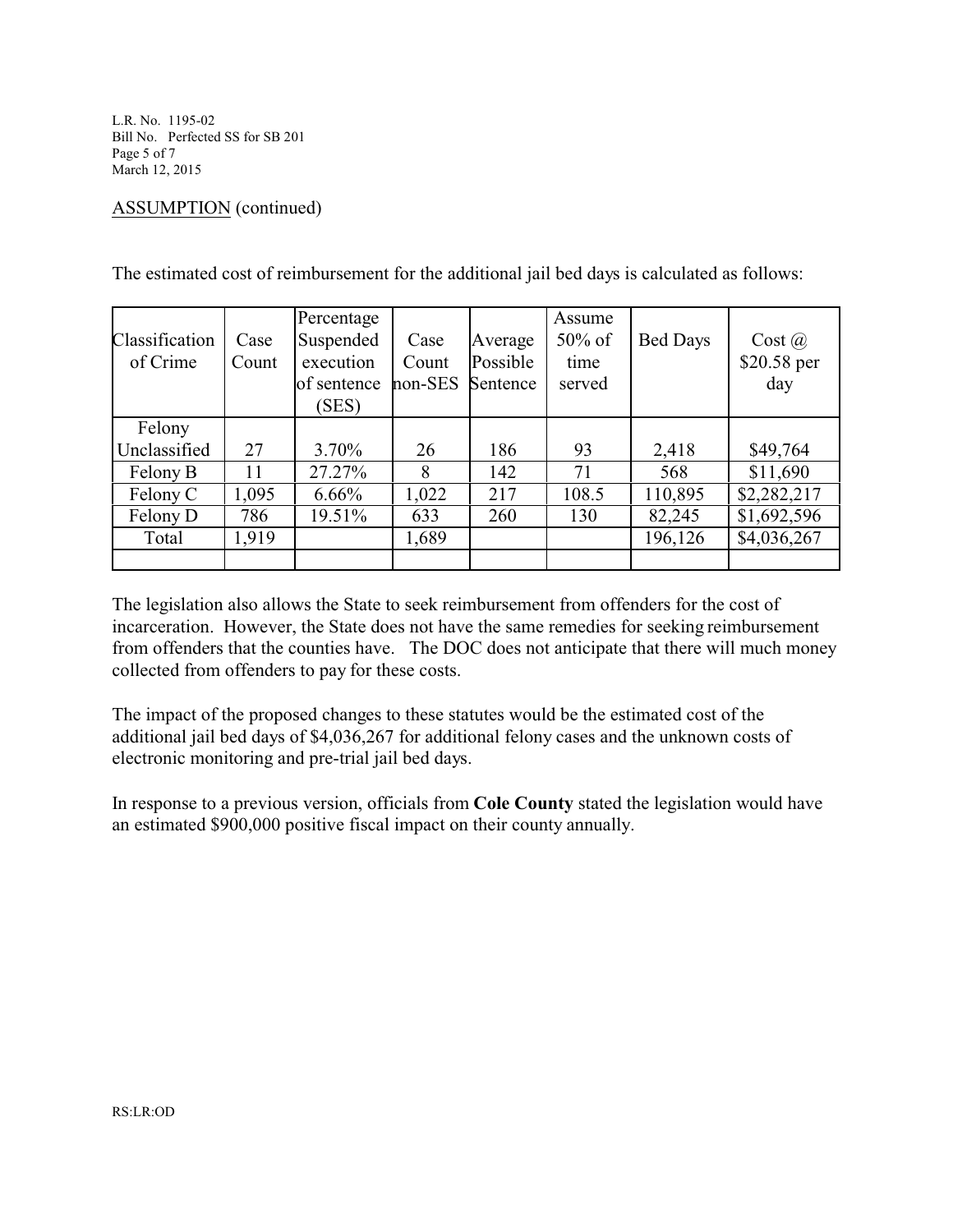L.R. No. 1195-02 Bill No. Perfected SS for SB 201 Page 5 of 7 March 12, 2015

## ASSUMPTION (continued)

|                |       | Percentage  |         |          | Assume    |                 |             |
|----------------|-------|-------------|---------|----------|-----------|-----------------|-------------|
| Classification | Case  | Suspended   | Case    | Average  | $50\%$ of | <b>Bed Days</b> | Cost (a)    |
| of Crime       | Count | execution   | Count   | Possible | time      |                 | \$20.58 per |
|                |       | of sentence | non-SES | Sentence | served    |                 | day         |
|                |       | (SES)       |         |          |           |                 |             |
| Felony         |       |             |         |          |           |                 |             |
| Unclassified   | 27    | 3.70%       | 26      | 186      | 93        | 2,418           | \$49,764    |
| Felony B       | 11    | 27.27%      | 8       | 142      | 71        | 568             | \$11,690    |
| Felony C       | 1,095 | $6.66\%$    | 1,022   | 217      | 108.5     | 110,895         | \$2,282,217 |
| Felony D       | 786   | 19.51%      | 633     | 260      | 130       | 82,245          | \$1,692,596 |
| Total          | 1,919 |             | 1,689   |          |           | 196,126         | \$4,036,267 |
|                |       |             |         |          |           |                 |             |

The estimated cost of reimbursement for the additional jail bed days is calculated as follows:

The legislation also allows the State to seek reimbursement from offenders for the cost of incarceration. However, the State does not have the same remedies for seeking reimbursement from offenders that the counties have. The DOC does not anticipate that there will much money collected from offenders to pay for these costs.

The impact of the proposed changes to these statutes would be the estimated cost of the additional jail bed days of \$4,036,267 for additional felony cases and the unknown costs of electronic monitoring and pre-trial jail bed days.

In response to a previous version, officials from **Cole County** stated the legislation would have an estimated \$900,000 positive fiscal impact on their county annually.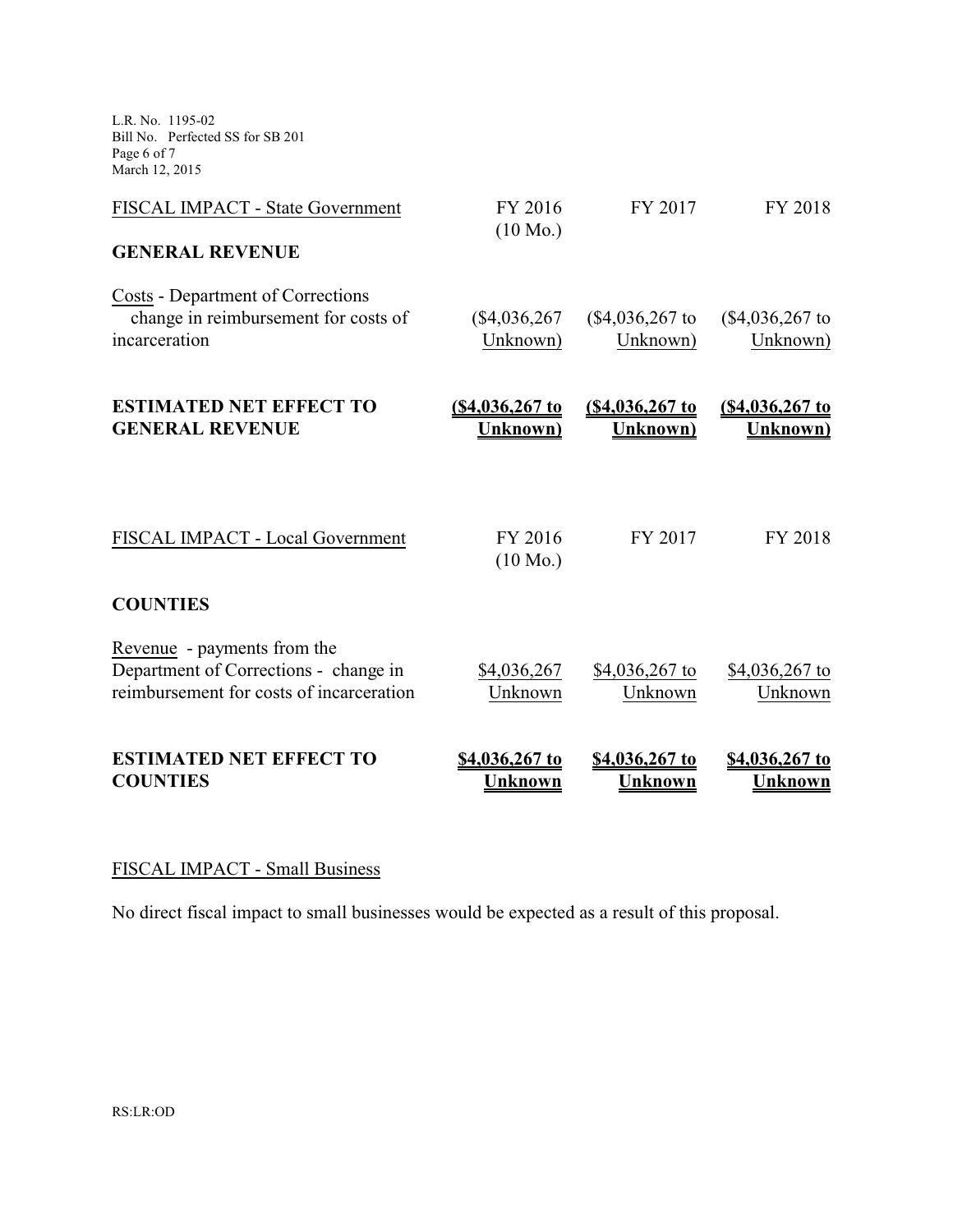L.R. No. 1195-02 Bill No. Perfected SS for SB 201 Page 6 of 7 March 12, 2015

| FISCAL IMPACT - State Government                                                                                 | FY 2016<br>$(10 \text{ Mo.})$      | FY 2017                            | FY 2018                                    |
|------------------------------------------------------------------------------------------------------------------|------------------------------------|------------------------------------|--------------------------------------------|
| <b>GENERAL REVENUE</b>                                                                                           |                                    |                                    |                                            |
| Costs - Department of Corrections<br>change in reimbursement for costs of<br>incarceration                       | $(\$4,036,267$<br>Unknown)         | $($4,036,267$$ to<br>Unknown)      | (\$4,036,267 to<br>Unknown)                |
| <b>ESTIMATED NET EFFECT TO</b><br><b>GENERAL REVENUE</b>                                                         | <u>(\$4,036,267 to</u><br>Unknown) | <u>(\$4,036,267 to</u><br>Unknown) | <u>(\$4,036,267 to</u><br><b>Unknown</b> ) |
| FISCAL IMPACT - Local Government                                                                                 | FY 2016<br>$(10 \text{ Mo.})$      | FY 2017                            | FY 2018                                    |
| <b>COUNTIES</b>                                                                                                  |                                    |                                    |                                            |
| Revenue - payments from the<br>Department of Corrections - change in<br>reimbursement for costs of incarceration | \$4,036,267<br>Unknown             | \$4,036,267 to<br>Unknown          | \$4,036,267 to<br>Unknown                  |
| <b>ESTIMATED NET EFFECT TO</b><br><b>COUNTIES</b>                                                                | \$4,036,267 to<br><b>Unknown</b>   | \$4,036,267 to<br><b>Unknown</b>   | \$4,036,267 to<br>Unknown                  |

# FISCAL IMPACT - Small Business

No direct fiscal impact to small businesses would be expected as a result of this proposal.